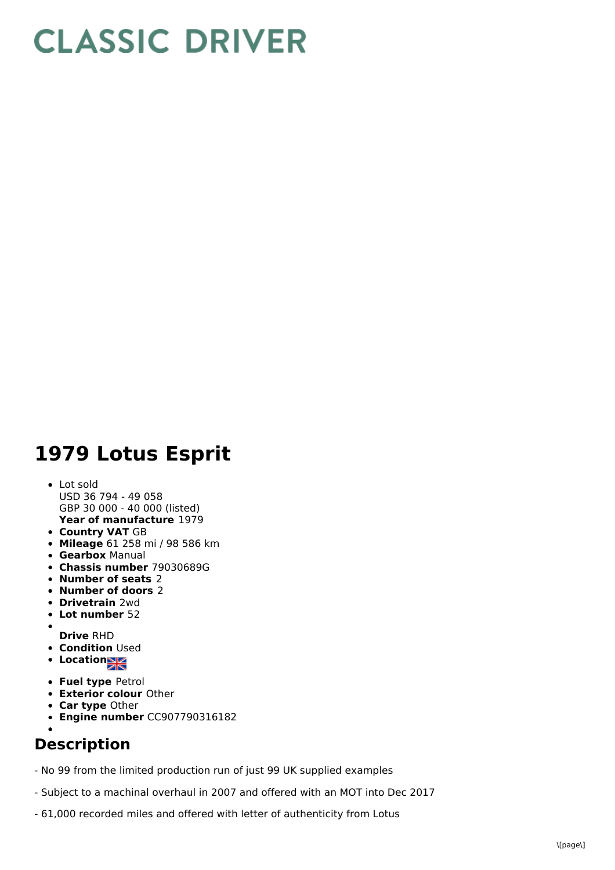## **CLASSIC DRIVER**

## **1979 Lotus Esprit**

- **Year of manufacture** 1979 Lot sold USD 36 794 - 49 058 GBP 30 000 - 40 000 (listed)
- **Country VAT** GB
- **Mileage** 61 258 mi / 98 586 km
- **Gearbox** Manual
- **Chassis number** 79030689G
- **Number of seats** 2
- **Number of doors** 2
- **Drivetrain** 2wd
- **Lot number** 52
- $\bullet$
- **Drive** RHD **• Condition Used**
- Location
- **Fuel type** Petrol
- **Exterior colour** Other
- **Car type** Other
- **Engine number** CC907790316182

## **Description**

- No 99 from the limited production run of just 99 UK supplied examples
- Subject to a machinal overhaul in 2007 and offered with an MOT into Dec 2017
- 61,000 recorded miles and offered with letter of authenticity from Lotus